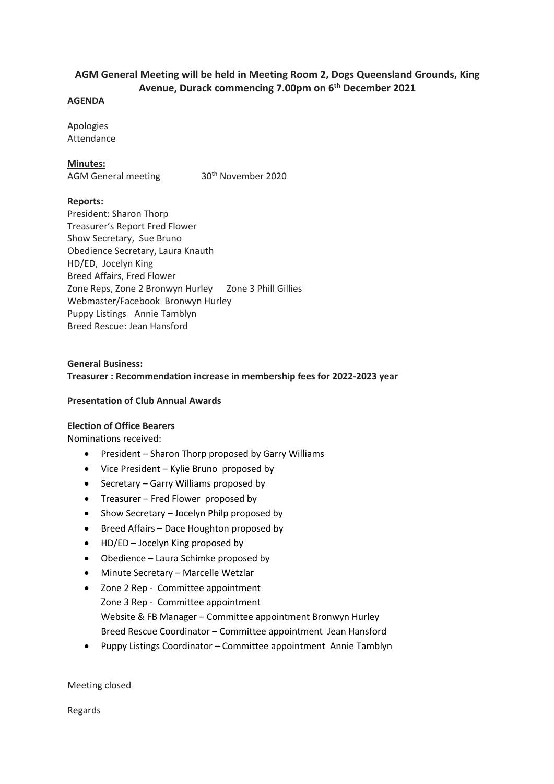# **AGM General Meeting will be held in Meeting Room 2, Dogs Queensland Grounds, King Avenue, Durack commencing 7.00pm on 6th December 2021**

#### **AGENDA**

Apologies Attendance

### **Minutes:**

AGM General meeting 30<sup>th</sup> November 2020

### **Reports:**

President: Sharon Thorp Treasurer's Report Fred Flower Show Secretary, Sue Bruno Obedience Secretary, Laura Knauth HD/ED, Jocelyn King Breed Affairs, Fred Flower Zone Reps, Zone 2 Bronwyn Hurley Zone 3 Phill Gillies Webmaster/Facebook Bronwyn Hurley Puppy Listings Annie Tamblyn Breed Rescue: Jean Hansford

# **General Business: Treasurer : Recommendation increase in membership fees for 2022-2023 year**

#### **Presentation of Club Annual Awards**

## **Election of Office Bearers**

Nominations received:

- President Sharon Thorp proposed by Garry Williams
- Vice President Kylie Bruno proposed by
- Secretary Garry Williams proposed by
- Treasurer Fred Flower proposed by
- Show Secretary Jocelyn Philp proposed by
- Breed Affairs Dace Houghton proposed by
- HD/ED Jocelyn King proposed by
- Obedience Laura Schimke proposed by
- Minute Secretary Marcelle Wetzlar
- Zone 2 Rep Committee appointment Zone 3 Rep - Committee appointment Website & FB Manager – Committee appointment Bronwyn Hurley Breed Rescue Coordinator – Committee appointment Jean Hansford
- Puppy Listings Coordinator Committee appointment Annie Tamblyn

Meeting closed

Regards